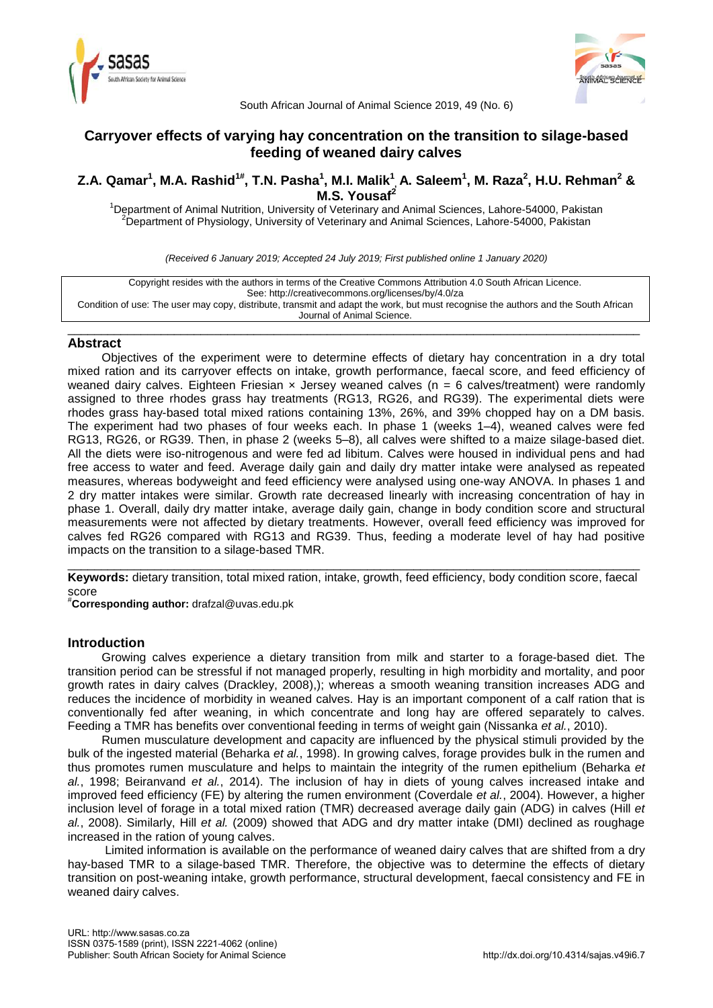



South African Journal of Animal Science 2019, 49 (No. 6)

# **Carryover effects of varying hay concentration on the transition to silage-based feeding of weaned dairy calves**

# Z.A. Qamar<sup>1</sup>, M.A. Rashid<sup>1#</sup>, T.N. Pasha<sup>1</sup>, M.I. Malik<sup>1</sup>, A. Saleem<sup>1</sup>, M. Raza<sup>2</sup>, H.U. Rehman<sup>2</sup> & **M.S. Yousaf<sup>2</sup>**

<sup>1</sup>Department of Animal Nutrition, University of Veterinary and Animal Sciences, Lahore-54000, Pakistan <sup>2</sup>Department of Physiology, University of Veterinary and Animal Sciences, Lahore-54000, Pakistan

*(Received 6 January 2019; Accepted 24 July 2019; First published online 1 January 2020)*

Copyright resides with the authors in terms of the Creative Commons Attribution 4.0 South African Licence. See: http://creativecommons.org/licenses/by/4.0/za Condition of use: The user may copy, distribute, transmit and adapt the work, but must recognise the authors and the South African Journal of Animal Science.

## \_\_\_\_\_\_\_\_\_\_\_\_\_\_\_\_\_\_\_\_\_\_\_\_\_\_\_\_\_\_\_\_\_\_\_\_\_\_\_\_\_\_\_\_\_\_\_\_\_\_\_\_\_\_\_\_\_\_\_\_\_\_\_\_\_\_\_\_\_\_\_\_\_\_\_\_\_\_\_\_\_\_\_\_\_\_ **Abstract**

Objectives of the experiment were to determine effects of dietary hay concentration in a dry total mixed ration and its carryover effects on intake, growth performance, faecal score, and feed efficiency of weaned dairy calves. Eighteen Friesian  $\times$  Jersey weaned calves (n = 6 calves/treatment) were randomly assigned to three rhodes grass hay treatments (RG13, RG26, and RG39). The experimental diets were rhodes grass hay-based total mixed rations containing 13%, 26%, and 39% chopped hay on a DM basis. The experiment had two phases of four weeks each. In phase 1 (weeks 1–4), weaned calves were fed RG13, RG26, or RG39. Then, in phase 2 (weeks 5–8), all calves were shifted to a maize silage-based diet. All the diets were iso-nitrogenous and were fed ad libitum. Calves were housed in individual pens and had free access to water and feed. Average daily gain and daily dry matter intake were analysed as repeated measures, whereas bodyweight and feed efficiency were analysed using one-way ANOVA. In phases 1 and 2 dry matter intakes were similar. Growth rate decreased linearly with increasing concentration of hay in phase 1. Overall, daily dry matter intake, average daily gain, change in body condition score and structural measurements were not affected by dietary treatments. However, overall feed efficiency was improved for calves fed RG26 compared with RG13 and RG39. Thus, feeding a moderate level of hay had positive impacts on the transition to a silage-based TMR.

\_\_\_\_\_\_\_\_\_\_\_\_\_\_\_\_\_\_\_\_\_\_\_\_\_\_\_\_\_\_\_\_\_\_\_\_\_\_\_\_\_\_\_\_\_\_\_\_\_\_\_\_\_\_\_\_\_\_\_\_\_\_\_\_\_\_\_\_\_\_\_\_\_\_\_\_\_\_\_\_\_\_\_\_\_\_ **Keywords:** dietary transition, total mixed ration, intake, growth, feed efficiency, body condition score, faecal score

#**Corresponding author:** [drafzal@uvas.edu.pk](mailto:drafzal@uvas.edu.pk)

# **Introduction**

Growing calves experience a dietary transition from milk and starter to a forage-based diet. The transition period can be stressful if not managed properly, resulting in high morbidity and mortality, and poor growth rates in dairy calves (Drackley, 2008),); whereas a smooth weaning transition increases ADG and reduces the incidence of morbidity in weaned calves. Hay is an important component of a calf ration that is conventionally fed after weaning, in which concentrate and long hay are offered separately to calves. Feeding a TMR has benefits over conventional feeding in terms of weight gain (Nissanka *et al.*, 2010).

Rumen musculature development and capacity are influenced by the physical stimuli provided by the bulk of the ingested material (Beharka *et al.*, 1998). In growing calves, forage provides bulk in the rumen and thus promotes rumen musculature and helps to maintain the integrity of the rumen epithelium (Beharka *et al.*, 1998; Beiranvand *et al.*, 2014). The inclusion of hay in diets of young calves increased intake and improved feed efficiency (FE) by altering the rumen environment (Coverdale *et al.*, 2004). However, a higher inclusion level of forage in a total mixed ration (TMR) decreased average daily gain (ADG) in calves (Hill *et al.*, 2008). Similarly, Hill *et al.* (2009) showed that ADG and dry matter intake (DMI) declined as roughage increased in the ration of young calves.

Limited information is available on the performance of weaned dairy calves that are shifted from a dry hay-based TMR to a silage-based TMR. Therefore, the objective was to determine the effects of dietary transition on post-weaning intake, growth performance, structural development, faecal consistency and FE in weaned dairy calves.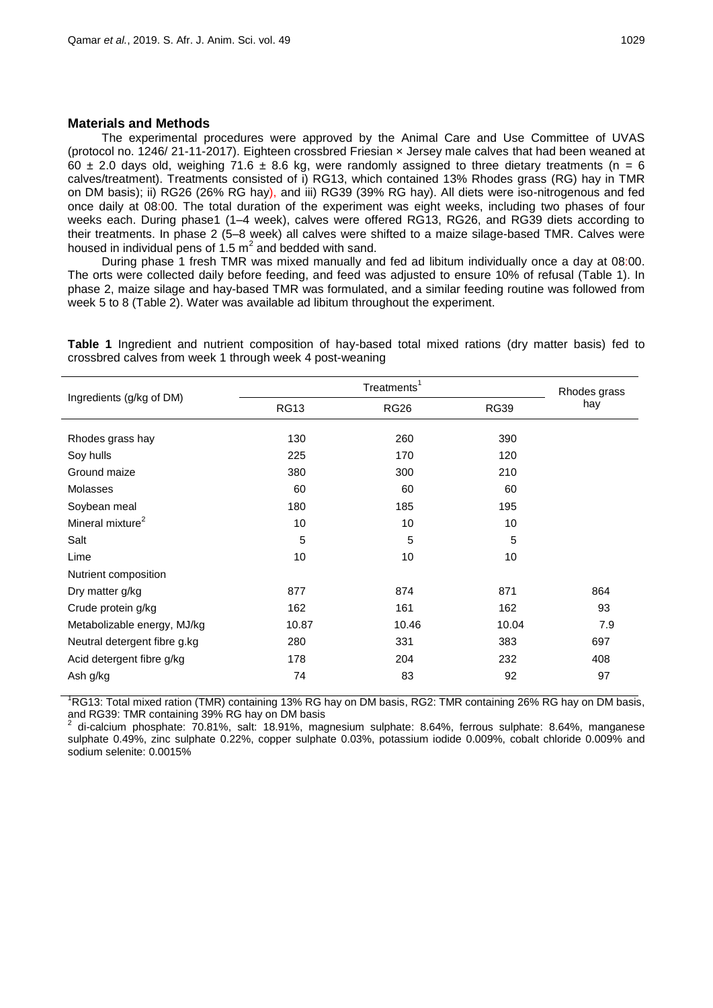### **Materials and Methods**

The experimental procedures were approved by the Animal Care and Use Committee of UVAS (protocol no. 1246/ 21-11-2017). Eighteen crossbred Friesian × Jersey male calves that had been weaned at 60  $\pm$  2.0 days old, weighing 71.6  $\pm$  8.6 kg, were randomly assigned to three dietary treatments (n = 6 calves/treatment). Treatments consisted of i) RG13, which contained 13% Rhodes grass (RG) hay in TMR on DM basis); ii) RG26 (26% RG hay), and iii) RG39 (39% RG hay). All diets were iso-nitrogenous and fed once daily at 08:00. The total duration of the experiment was eight weeks, including two phases of four weeks each. During phase1 (1–4 week), calves were offered RG13, RG26, and RG39 diets according to their treatments. In phase 2 (5–8 week) all calves were shifted to a maize silage-based TMR. Calves were housed in individual pens of 1.5  $m^2$  and bedded with sand.

During phase 1 fresh TMR was mixed manually and fed ad libitum individually once a day at 08:00. The orts were collected daily before feeding, and feed was adjusted to ensure 10% of refusal (Table 1). In phase 2, maize silage and hay-based TMR was formulated, and a similar feeding routine was followed from week 5 to 8 (Table 2). Water was available ad libitum throughout the experiment.

Ingredients (g/kg of DM) Treatments<sup>1</sup> Rhodes grass hay RG13 RG26 RG39 Rhodes grass hay 130 130 260 390 Soy hulls 225 170 120 Ground maize **380** 300 210 Molasses 60 60 60 Soybean meal 180 185 195 Mineral mixture<sup>2</sup> 10 10 10 Salt 5 5 5 Lime 10 10 10 Nutrient composition Dry matter g/kg 877 864 877 864 Crude protein g/kg 162 162 161 162 93 Metabolizable energy, MJ/kg 10.87 10.87 10.46 10.04 10.04 10.04 Neutral detergent fibre g.kg 380 331 383 697 Acid detergent fibre g/kg 178 178 204 232 408 Ash g/kg 74 83 92 97

**Table 1** Ingredient and nutrient composition of hay-based total mixed rations (dry matter basis) fed to crossbred calves from week 1 through week 4 post-weaning

 ${}^{1}$ RG13: Total mixed ration (TMR) containing 13% RG hay on DM basis, RG2: TMR containing 26% RG hay on DM basis, and RG39: TMR containing 39% RG hay on DM basis

2 di-calcium phosphate: 70.81%, salt: 18.91%, magnesium sulphate: 8.64%, ferrous sulphate: 8.64%, manganese sulphate 0.49%, zinc sulphate 0.22%, copper sulphate 0.03%, potassium iodide 0.009%, cobalt chloride 0.009% and sodium selenite: 0.0015%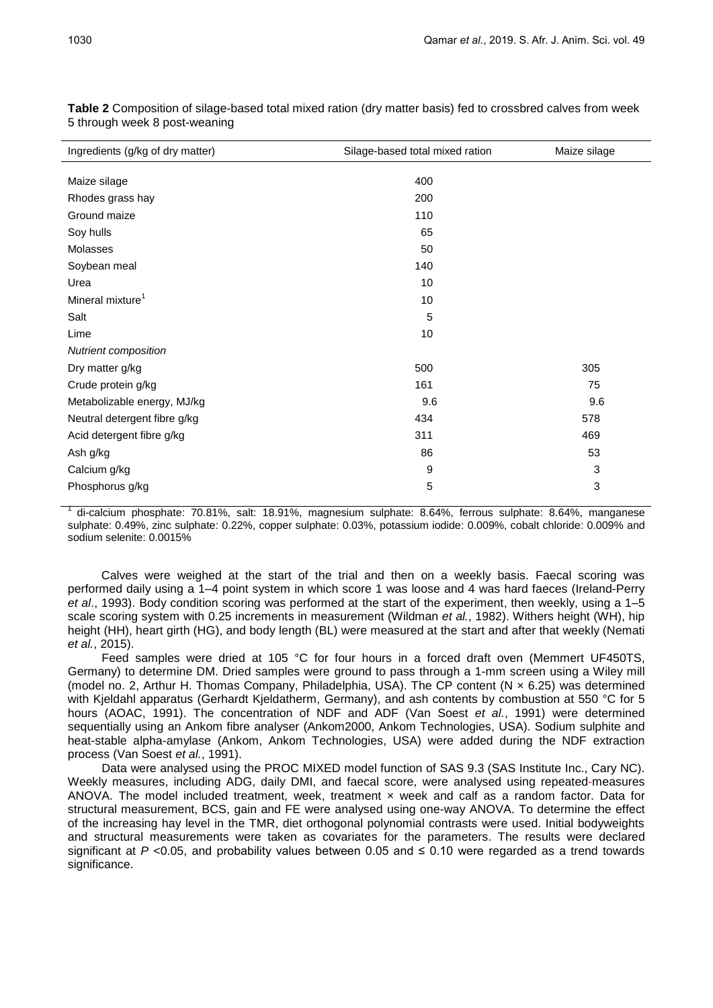| Ingredients (g/kg of dry matter) | Silage-based total mixed ration | Maize silage |  |  |
|----------------------------------|---------------------------------|--------------|--|--|
|                                  |                                 |              |  |  |
| Maize silage                     | 400                             |              |  |  |
| Rhodes grass hay                 | 200                             |              |  |  |
| Ground maize                     | 110                             |              |  |  |
| Soy hulls                        | 65                              |              |  |  |
| Molasses                         | 50                              |              |  |  |
| Soybean meal                     | 140                             |              |  |  |
| Urea                             | 10                              |              |  |  |
| Mineral mixture <sup>1</sup>     | 10                              |              |  |  |
| Salt                             | 5                               |              |  |  |
| Lime                             | 10                              |              |  |  |
| Nutrient composition             |                                 |              |  |  |
| Dry matter g/kg                  | 500                             | 305          |  |  |
| Crude protein g/kg               | 161                             | 75           |  |  |
| Metabolizable energy, MJ/kg      | 9.6                             | 9.6          |  |  |
| Neutral detergent fibre g/kg     | 434                             | 578          |  |  |
| Acid detergent fibre g/kg        | 311                             | 469          |  |  |
| Ash g/kg                         | 86                              | 53           |  |  |
| Calcium g/kg                     | 9                               | 3            |  |  |
| Phosphorus g/kg                  | 5                               | 3            |  |  |

**Table 2** Composition of silage-based total mixed ration (dry matter basis) fed to crossbred calves from week 5 through week 8 post-weaning

1 di-calcium phosphate: 70.81%, salt: 18.91%, magnesium sulphate: 8.64%, ferrous sulphate: 8.64%, manganese sulphate: 0.49%, zinc sulphate: 0.22%, copper sulphate: 0.03%, potassium iodide: 0.009%, cobalt chloride: 0.009% and sodium selenite: 0.0015%

Calves were weighed at the start of the trial and then on a weekly basis. Faecal scoring was performed daily using a 1–4 point system in which score 1 was loose and 4 was hard faeces (Ireland-Perry *et al*., 1993). Body condition scoring was performed at the start of the experiment, then weekly, using a 1–5 scale scoring system with 0.25 increments in measurement (Wildman *et al.*, 1982). Withers height (WH), hip height (HH), heart girth (HG), and body length (BL) were measured at the start and after that weekly (Nemati *et al.*, 2015).

Feed samples were dried at 105 °C for four hours in a forced draft oven (Memmert UF450TS, Germany) to determine DM. Dried samples were ground to pass through a 1-mm screen using a Wiley mill (model no. 2, Arthur H. Thomas Company, Philadelphia, USA). The CP content (N × 6.25) was determined with Kjeldahl apparatus (Gerhardt Kjeldatherm, Germany), and ash contents by combustion at 550 °C for 5 hours (AOAC, 1991). The concentration of NDF and ADF (Van Soest *et al.*, 1991) were determined sequentially using an Ankom fibre analyser (Ankom2000, Ankom Technologies, USA). Sodium sulphite and heat-stable alpha-amylase (Ankom, Ankom Technologies, USA) were added during the NDF extraction process (Van Soest *et al.*, 1991).

Data were analysed using the PROC MIXED model function of SAS 9.3 (SAS Institute Inc., Cary NC). Weekly measures, including ADG, daily DMI, and faecal score, were analysed using repeated-measures ANOVA. The model included treatment, week, treatment × week and calf as a random factor. Data for structural measurement, BCS, gain and FE were analysed using one-way ANOVA. To determine the effect of the increasing hay level in the TMR, diet orthogonal polynomial contrasts were used. Initial bodyweights and structural measurements were taken as covariates for the parameters. The results were declared significant at  $P \le 0.05$ , and probability values between 0.05 and  $\le 0.10$  were regarded as a trend towards significance.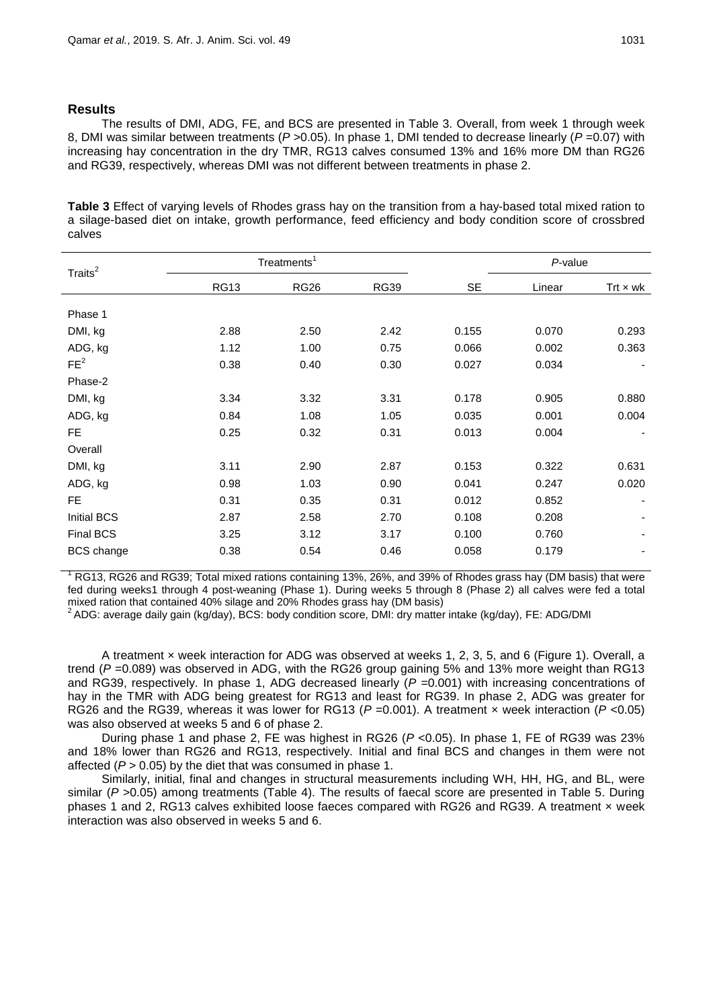# **Results**

The results of DMI, ADG, FE, and BCS are presented in Table 3. Overall, from week 1 through week 8, DMI was similar between treatments (*P* >0.05). In phase 1, DMI tended to decrease linearly (*P* =0.07) with increasing hay concentration in the dry TMR, RG13 calves consumed 13% and 16% more DM than RG26 and RG39, respectively, whereas DMI was not different between treatments in phase 2.

**Table 3** Effect of varying levels of Rhodes grass hay on the transition from a hay-based total mixed ration to a silage-based diet on intake, growth performance, feed efficiency and body condition score of crossbred calves

| Traits <sup>2</sup> | Treatments <sup>1</sup> |             |             |           | P-value |                 |
|---------------------|-------------------------|-------------|-------------|-----------|---------|-----------------|
|                     | <b>RG13</b>             | <b>RG26</b> | <b>RG39</b> | <b>SE</b> | Linear  | Trt $\times$ wk |
| Phase 1             |                         |             |             |           |         |                 |
| DMI, kg             | 2.88                    | 2.50        | 2.42        | 0.155     | 0.070   | 0.293           |
| ADG, kg             | 1.12                    | 1.00        | 0.75        | 0.066     | 0.002   | 0.363           |
| FE <sup>2</sup>     | 0.38                    | 0.40        | 0.30        | 0.027     | 0.034   |                 |
| Phase-2             |                         |             |             |           |         |                 |
| DMI, kg             | 3.34                    | 3.32        | 3.31        | 0.178     | 0.905   | 0.880           |
| ADG, kg             | 0.84                    | 1.08        | 1.05        | 0.035     | 0.001   | 0.004           |
| FE.                 | 0.25                    | 0.32        | 0.31        | 0.013     | 0.004   |                 |
| Overall             |                         |             |             |           |         |                 |
| DMI, kg             | 3.11                    | 2.90        | 2.87        | 0.153     | 0.322   | 0.631           |
| ADG, kg             | 0.98                    | 1.03        | 0.90        | 0.041     | 0.247   | 0.020           |
| FE.                 | 0.31                    | 0.35        | 0.31        | 0.012     | 0.852   |                 |
| <b>Initial BCS</b>  | 2.87                    | 2.58        | 2.70        | 0.108     | 0.208   |                 |
| Final BCS           | 3.25                    | 3.12        | 3.17        | 0.100     | 0.760   |                 |
| <b>BCS</b> change   | 0.38                    | 0.54        | 0.46        | 0.058     | 0.179   |                 |

<sup>1</sup> RG13, RG26 and RG39; Total mixed rations containing 13%, 26%, and 39% of Rhodes grass hay (DM basis) that were fed during weeks1 through 4 post-weaning (Phase 1). During weeks 5 through 8 (Phase 2) all calves were fed a total mixed ration that contained 40% silage and 20% Rhodes grass hay (DM basis)

<sup>2</sup> ADG: average daily gain (kg/day), BCS: body condition score, DMI: dry matter intake (kg/day), FE: ADG/DMI

A treatment × week interaction for ADG was observed at weeks 1, 2, 3, 5, and 6 (Figure 1). Overall, a trend (*P* =0.089) was observed in ADG, with the RG26 group gaining 5% and 13% more weight than RG13 and RG39, respectively. In phase 1, ADG decreased linearly ( $P = 0.001$ ) with increasing concentrations of hay in the TMR with ADG being greatest for RG13 and least for RG39. In phase 2, ADG was greater for RG26 and the RG39, whereas it was lower for RG13 (*P* =0.001). A treatment × week interaction (*P* <0.05) was also observed at weeks 5 and 6 of phase 2.

During phase 1 and phase 2, FE was highest in RG26 (*P* <0.05). In phase 1, FE of RG39 was 23% and 18% lower than RG26 and RG13, respectively. Initial and final BCS and changes in them were not affected (*P* > 0.05) by the diet that was consumed in phase 1.

Similarly, initial, final and changes in structural measurements including WH, HH, HG, and BL, were similar (*P* >0.05) among treatments (Table 4). The results of faecal score are presented in Table 5. During phases 1 and 2, RG13 calves exhibited loose faeces compared with RG26 and RG39. A treatment × week interaction was also observed in weeks 5 and 6.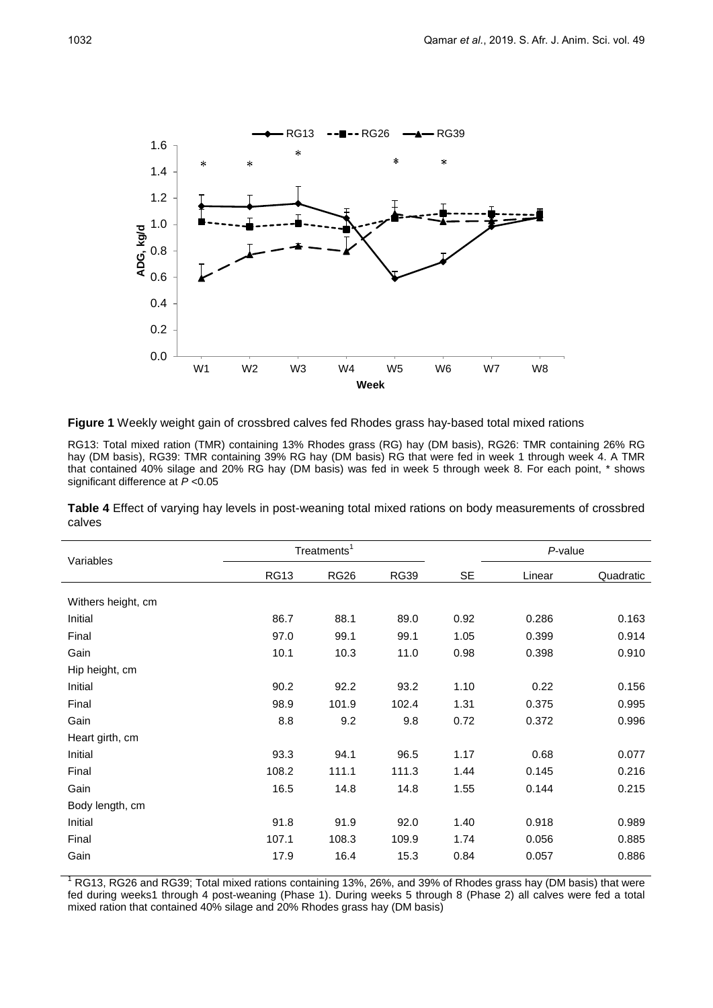

**Figure 1** Weekly weight gain of crossbred calves fed Rhodes grass hay-based total mixed rations

RG13: Total mixed ration (TMR) containing 13% Rhodes grass (RG) hay (DM basis), RG26: TMR containing 26% RG hay (DM basis), RG39: TMR containing 39% RG hay (DM basis) RG that were fed in week 1 through week 4. A TMR that contained 40% silage and 20% RG hay (DM basis) was fed in week 5 through week 8. For each point, \* shows significant difference at *P* <0.05

**Table 4** Effect of varying hay levels in post-weaning total mixed rations on body measurements of crossbred calves

| Variables          | Treatments <sup>1</sup> |             |             |           | P-value |           |  |
|--------------------|-------------------------|-------------|-------------|-----------|---------|-----------|--|
|                    | <b>RG13</b>             | <b>RG26</b> | <b>RG39</b> | <b>SE</b> | Linear  | Quadratic |  |
| Withers height, cm |                         |             |             |           |         |           |  |
| Initial            | 86.7                    | 88.1        | 89.0        | 0.92      | 0.286   | 0.163     |  |
| Final              | 97.0                    | 99.1        | 99.1        | 1.05      | 0.399   | 0.914     |  |
| Gain               | 10.1                    | 10.3        | 11.0        | 0.98      | 0.398   | 0.910     |  |
| Hip height, cm     |                         |             |             |           |         |           |  |
| Initial            | 90.2                    | 92.2        | 93.2        | 1.10      | 0.22    | 0.156     |  |
| Final              | 98.9                    | 101.9       | 102.4       | 1.31      | 0.375   | 0.995     |  |
| Gain               | 8.8                     | 9.2         | 9.8         | 0.72      | 0.372   | 0.996     |  |
| Heart girth, cm    |                         |             |             |           |         |           |  |
| Initial            | 93.3                    | 94.1        | 96.5        | 1.17      | 0.68    | 0.077     |  |
| Final              | 108.2                   | 111.1       | 111.3       | 1.44      | 0.145   | 0.216     |  |
| Gain               | 16.5                    | 14.8        | 14.8        | 1.55      | 0.144   | 0.215     |  |
| Body length, cm    |                         |             |             |           |         |           |  |
| Initial            | 91.8                    | 91.9        | 92.0        | 1.40      | 0.918   | 0.989     |  |
| Final              | 107.1                   | 108.3       | 109.9       | 1.74      | 0.056   | 0.885     |  |
| Gain               | 17.9                    | 16.4        | 15.3        | 0.84      | 0.057   | 0.886     |  |

RG13, RG26 and RG39; Total mixed rations containing 13%, 26%, and 39% of Rhodes grass hay (DM basis) that were fed during weeks1 through 4 post-weaning (Phase 1). During weeks 5 through 8 (Phase 2) all calves were fed a total mixed ration that contained 40% silage and 20% Rhodes grass hay (DM basis)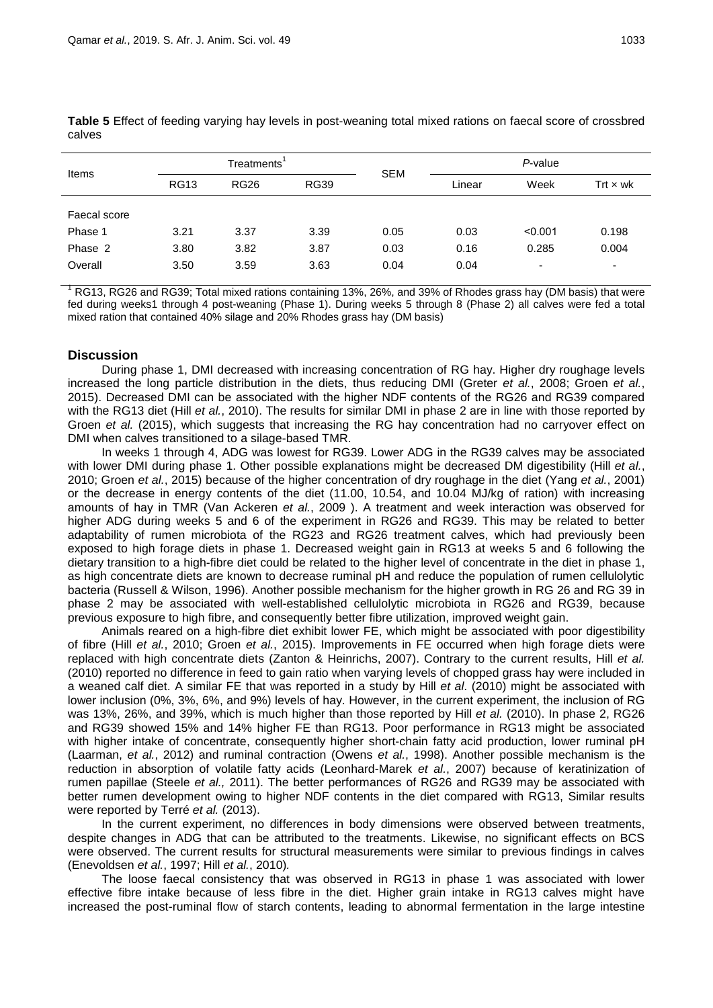| Items                                         | Treatments'          |                      | <b>SEM</b>           | P-value              |                      |                                              |                     |
|-----------------------------------------------|----------------------|----------------------|----------------------|----------------------|----------------------|----------------------------------------------|---------------------|
|                                               | <b>RG13</b>          | <b>RG26</b>          | <b>RG39</b>          |                      | Linear               | Week                                         | Trt $\times$ wk     |
| Faecal score<br>Phase 1<br>Phase 2<br>Overall | 3.21<br>3.80<br>3.50 | 3.37<br>3.82<br>3.59 | 3.39<br>3.87<br>3.63 | 0.05<br>0.03<br>0.04 | 0.03<br>0.16<br>0.04 | < 0.001<br>0.285<br>$\overline{\phantom{a}}$ | 0.198<br>0.004<br>۰ |

**Table 5** Effect of feeding varying hay levels in post-weaning total mixed rations on faecal score of crossbred calves

<sup>1</sup> RG13, RG26 and RG39; Total mixed rations containing 13%, 26%, and 39% of Rhodes grass hay (DM basis) that were fed during weeks1 through 4 post-weaning (Phase 1). During weeks 5 through 8 (Phase 2) all calves were fed a total mixed ration that contained 40% silage and 20% Rhodes grass hay (DM basis)

# **Discussion**

During phase 1, DMI decreased with increasing concentration of RG hay. Higher dry roughage levels increased the long particle distribution in the diets, thus reducing DMI (Greter *et al.*, 2008; Groen *et al.*, 2015). Decreased DMI can be associated with the higher NDF contents of the RG26 and RG39 compared with the RG13 diet (Hill *et al.*, 2010). The results for similar DMI in phase 2 are in line with those reported by Groen *et al.* (2015), which suggests that increasing the RG hay concentration had no carryover effect on DMI when calves transitioned to a silage-based TMR.

In weeks 1 through 4, ADG was lowest for RG39. Lower ADG in the RG39 calves may be associated with lower DMI during phase 1. Other possible explanations might be decreased DM digestibility (Hill *et al.*, 2010; Groen *et al.*, 2015) because of the higher concentration of dry roughage in the diet (Yang *et al.*, 2001) or the decrease in energy contents of the diet (11.00, 10.54, and 10.04 MJ/kg of ration) with increasing amounts of hay in TMR (Van Ackeren *et al.*, 2009 ). A treatment and week interaction was observed for higher ADG during weeks 5 and 6 of the experiment in RG26 and RG39. This may be related to better adaptability of rumen microbiota of the RG23 and RG26 treatment calves, which had previously been exposed to high forage diets in phase 1. Decreased weight gain in RG13 at weeks 5 and 6 following the dietary transition to a high-fibre diet could be related to the higher level of concentrate in the diet in phase 1, as high concentrate diets are known to decrease ruminal pH and reduce the population of rumen cellulolytic bacteria (Russell & Wilson, 1996). Another possible mechanism for the higher growth in RG 26 and RG 39 in phase 2 may be associated with well-established cellulolytic microbiota in RG26 and RG39, because previous exposure to high fibre, and consequently better fibre utilization, improved weight gain.

Animals reared on a high-fibre diet exhibit lower FE, which might be associated with poor digestibility of fibre (Hill *et al.*, 2010; Groen *et al.*, 2015). Improvements in FE occurred when high forage diets were replaced with high concentrate diets (Zanton & Heinrichs, 2007). Contrary to the current results, Hill *et al.* (2010) reported no difference in feed to gain ratio when varying levels of chopped grass hay were included in a weaned calf diet. A similar FE that was reported in a study by Hill *et al*. (2010) might be associated with lower inclusion (0%, 3%, 6%, and 9%) levels of hay. However, in the current experiment, the inclusion of RG was 13%, 26%, and 39%, which is much higher than those reported by Hill *et al.* (2010). In phase 2, RG26 and RG39 showed 15% and 14% higher FE than RG13. Poor performance in RG13 might be associated with higher intake of concentrate, consequently higher short-chain fatty acid production, lower ruminal pH (Laarman, *et al.*, 2012) and ruminal contraction (Owens *et al.*, 1998). Another possible mechanism is the reduction in absorption of volatile fatty acids (Leonhard-Marek *et al.*, 2007) because of keratinization of rumen papillae (Steele *et al.,* 2011). The better performances of RG26 and RG39 may be associated with better rumen development owing to higher NDF contents in the diet compared with RG13, Similar results were reported by Terré *et al.* (2013).

In the current experiment, no differences in body dimensions were observed between treatments, despite changes in ADG that can be attributed to the treatments. Likewise, no significant effects on BCS were observed. The current results for structural measurements were similar to previous findings in calves (Enevoldsen *et al.*, 1997; Hill *et al.*, 2010)*.*

The loose faecal consistency that was observed in RG13 in phase 1 was associated with lower effective fibre intake because of less fibre in the diet. Higher grain intake in RG13 calves might have increased the post-ruminal flow of starch contents, leading to abnormal fermentation in the large intestine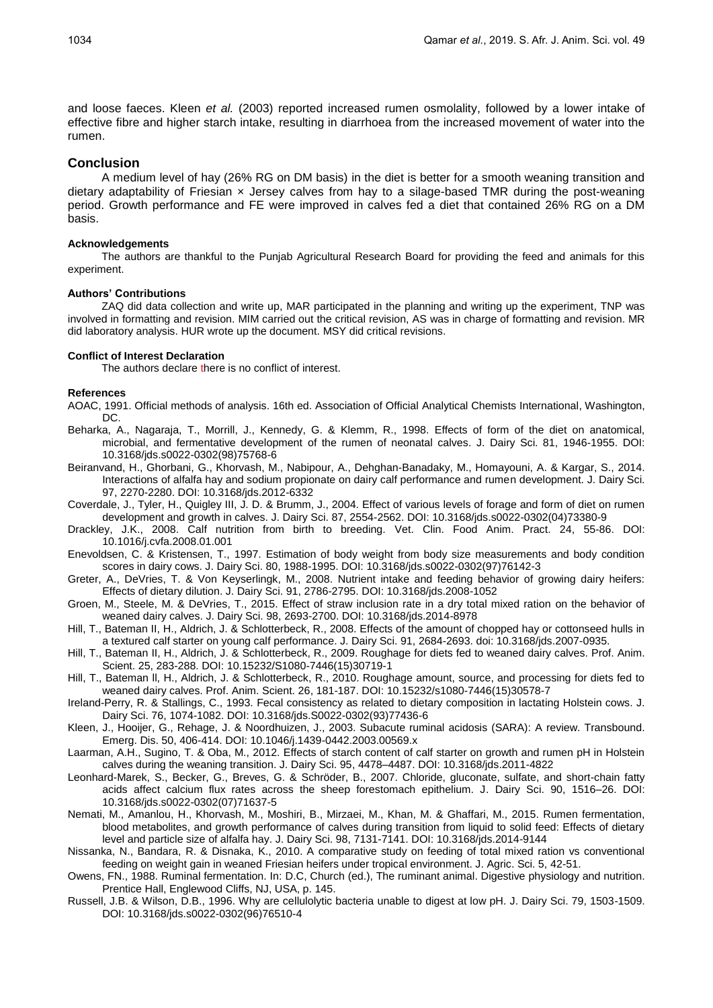and loose faeces. Kleen *et al.* (2003) reported increased rumen osmolality, followed by a lower intake of effective fibre and higher starch intake, resulting in diarrhoea from the increased movement of water into the rumen.

### **Conclusion**

A medium level of hay (26% RG on DM basis) in the diet is better for a smooth weaning transition and dietary adaptability of Friesian x Jersey calves from hay to a silage-based TMR during the post-weaning period. Growth performance and FE were improved in calves fed a diet that contained 26% RG on a DM basis.

#### **Acknowledgements**

The authors are thankful to the Punjab Agricultural Research Board for providing the feed and animals for this experiment.

### **Authors' Contributions**

ZAQ did data collection and write up, MAR participated in the planning and writing up the experiment, TNP was involved in formatting and revision. MIM carried out the critical revision, AS was in charge of formatting and revision. MR did laboratory analysis. HUR wrote up the document. MSY did critical revisions.

#### **Conflict of Interest Declaration**

The authors declare there is no conflict of interest.

#### **References**

- AOAC, 1991. Official methods of analysis. 16th ed. Association of Official Analytical Chemists International, Washington, DC.
- Beharka, A., Nagaraja, T., Morrill, J., Kennedy, G. & Klemm, R., 1998. Effects of form of the diet on anatomical, microbial, and fermentative development of the rumen of neonatal calves. J. Dairy Sci. 81, 1946-1955. DOI: 10.3168/jds.s0022-0302(98)75768-6
- Beiranvand, H., Ghorbani, G., Khorvash, M., Nabipour, A., Dehghan-Banadaky, M., Homayouni, A. & Kargar, S., 2014. Interactions of alfalfa hay and sodium propionate on dairy calf performance and rumen development. J. Dairy Sci. 97, 2270-2280. DOI: 10.3168/jds.2012-6332
- Coverdale, J., Tyler, H., Quigley III, J. D. & Brumm, J., 2004. Effect of various levels of forage and form of diet on rumen development and growth in calves. J. Dairy Sci. 87, 2554-2562. DOI: 10.3168/jds.s0022-0302(04)73380-9
- Drackley, J.K., 2008. Calf nutrition from birth to breeding. Vet. Clin. Food Anim. Pract. 24, 55-86. DOI: 10.1016/j.cvfa.2008.01.001
- Enevoldsen, C. & Kristensen, T., 1997. Estimation of body weight from body size measurements and body condition scores in dairy cows. J. Dairy Sci. 80, 1988-1995. DOI: 10.3168/jds.s0022-0302(97)76142-3
- Greter, A., DeVries, T. & Von Keyserlingk, M., 2008. Nutrient intake and feeding behavior of growing dairy heifers: Effects of dietary dilution. J. Dairy Sci. 91, 2786-2795. DOI: 10.3168/jds.2008-1052
- Groen, M., Steele, M. & DeVries, T., 2015. Effect of straw inclusion rate in a dry total mixed ration on the behavior of weaned dairy calves. J. Dairy Sci. 98, 2693-2700. DOI: 10.3168/jds.2014-8978
- Hill, T., Bateman II, H., Aldrich, J. & Schlotterbeck, R., 2008. Effects of the amount of chopped hay or cottonseed hulls in a textured calf starter on young calf performance. J. Dairy Sci. 91, 2684-2693. doi: 10.3168/jds.2007-0935.
- Hill, T., Bateman II, H., Aldrich, J. & Schlotterbeck, R., 2009. Roughage for diets fed to weaned dairy calves. Prof. Anim. Scient. 25, 283-288. DOI: 10.15232/S1080-7446(15)30719-1
- Hill, T., Bateman ll, H., Aldrich, J. & Schlotterbeck, R., 2010. Roughage amount, source, and processing for diets fed to weaned dairy calves. Prof. Anim. Scient. 26, 181-187. DOI: 10.15232/s1080-7446(15)30578-7
- Ireland-Perry, R. & Stallings, C., 1993. Fecal consistency as related to dietary composition in lactating Holstein cows. J. Dairy Sci. 76, 1074-1082. DOI: 10.3168/jds.S0022-0302(93)77436-6
- Kleen, J., Hooijer, G., Rehage, J. & Noordhuizen, J., 2003. Subacute ruminal acidosis (SARA): A review. Transbound. Emerg. Dis. 50, 406-414. DOI: 10.1046/j.1439-0442.2003.00569.x
- Laarman, A.H., Sugino, T. & Oba, M., 2012. Effects of starch content of calf starter on growth and rumen pH in Holstein calves during the weaning transition. J. Dairy Sci. 95, 4478–4487. DOI: 10.3168/jds.2011-4822
- Leonhard-Marek, S., Becker, G., Breves, G. & Schröder, B., 2007. Chloride, gluconate, sulfate, and short-chain fatty acids affect calcium flux rates across the sheep forestomach epithelium. J. Dairy Sci. 90, 1516–26. DOI: 10.3168/jds.s0022-0302(07)71637-5
- Nemati, M., Amanlou, H., Khorvash, M., Moshiri, B., Mirzaei, M., Khan, M. & Ghaffari, M., 2015. Rumen fermentation, blood metabolites, and growth performance of calves during transition from liquid to solid feed: Effects of dietary level and particle size of alfalfa hay. J. Dairy Sci. 98, 7131-7141. DOI: 10.3168/jds.2014-9144
- Nissanka, N., Bandara, R. & Disnaka, K., 2010. A comparative study on feeding of total mixed ration vs conventional feeding on weight gain in weaned Friesian heifers under tropical environment. J. Agric. Sci. 5, 42-51.
- Owens, FN., 1988. Ruminal fermentation. In: D.C, Church (ed.), The ruminant animal. Digestive physiology and nutrition. Prentice Hall, Englewood Cliffs, NJ, USA, p. 145.
- Russell, J.B. & Wilson, D.B., 1996. Why are cellulolytic bacteria unable to digest at low pH. J. Dairy Sci. 79, 1503-1509. DOI: 10.3168/jds.s0022-0302(96)76510-4